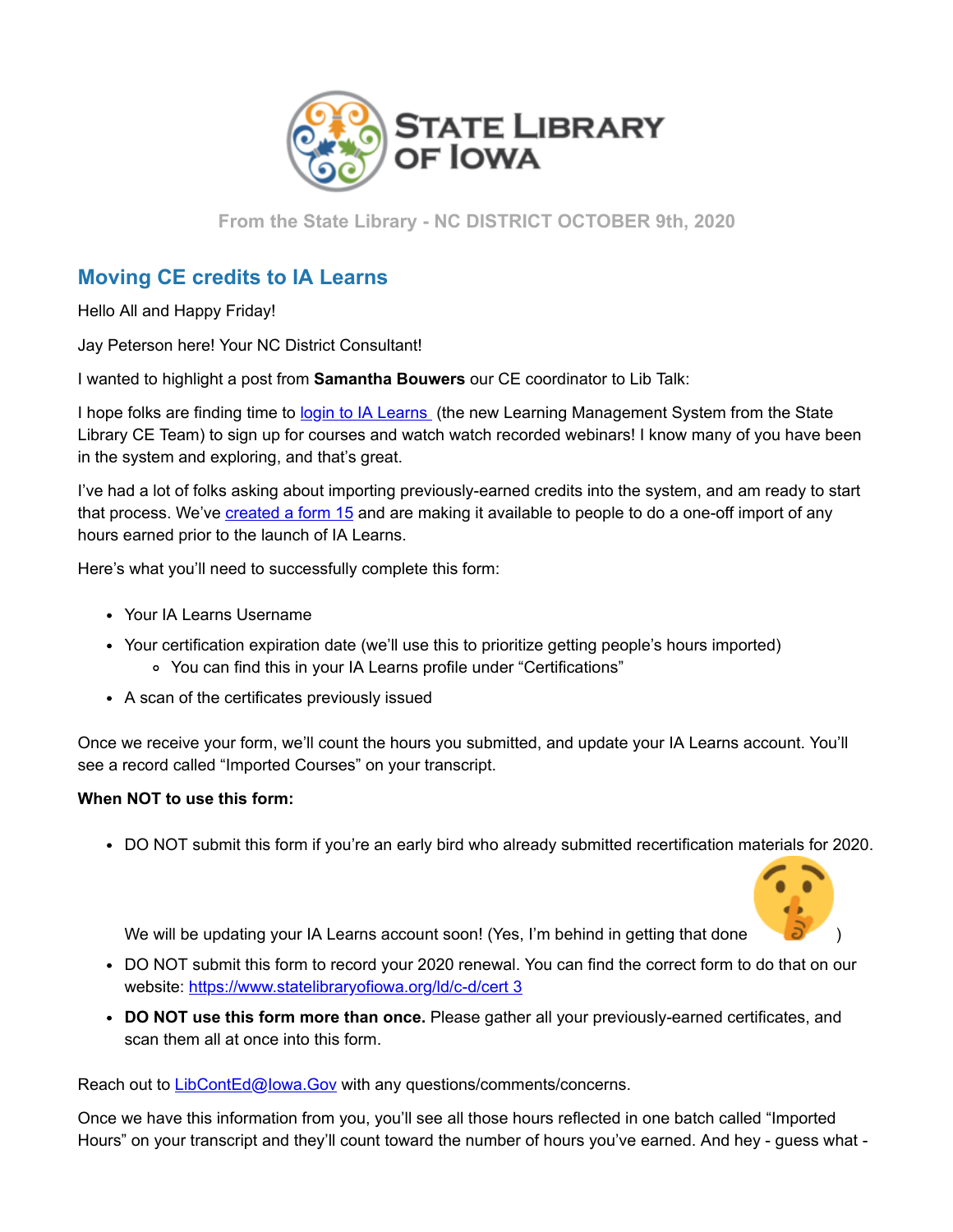

**From the State Library - NC DISTRICT OCTOBER 9th, 2020**

## **Moving CE credits to IA Learns**

Hello All and Happy Friday!

Jay Peterson here! Your NC District Consultant!

I wanted to highlight a post from **Samantha Bouwers** our CE coordinator to Lib Talk:

I hope folks are finding time to [login to IA Learns](https://lsglm700.learnsoft.com/LSGLM/Login/ialearns.aspx?utm_medium=email&utm_source=govdelivery) (the new Learning Management System from the State Library CE Team) to sign up for courses and watch watch recorded webinars! I know many of you have been in the system and exploring, and that's great.

I've had a lot of folks asking about importing previously-earned credits into the system, and am ready to start that process. We've [created a form 15](https://stateofiowa.seamlessdocs.com/f/IALearnsImport?utm_medium=email&utm_source=govdelivery) and are making it available to people to do a one-off import of any hours earned prior to the launch of IA Learns.

Here's what you'll need to successfully complete this form:

- Your IA Learns Username
- Your certification expiration date (we'll use this to prioritize getting people's hours imported) You can find this in your IA Learns profile under "Certifications"
- A scan of the certificates previously issued

Once we receive your form, we'll count the hours you submitted, and update your IA Learns account. You'll see a record called "Imported Courses" on your transcript.

## **When NOT to use this form:**

DO NOT submit this form if you're an early bird who already submitted recertification materials for 2020.



We will be updating your IA Learns account soon! (Yes, I'm behind in getting that done

- DO NOT submit this form to record your 2020 renewal. You can find the correct form to do that on our website: [https://www.statelibraryofiowa.org/ld/c-d/cert 3](https://www.statelibraryofiowa.org/ld/c-d/cert?utm_medium=email&utm_source=govdelivery)
- **DO NOT use this form more than once.** Please gather all your previously-earned certificates, and scan them all at once into this form.

Reach out to LibContEd@lowa.Gov with any questions/comments/concerns.

Once we have this information from you, you'll see all those hours reflected in one batch called "Imported Hours" on your transcript and they'll count toward the number of hours you've earned. And hey - guess what -